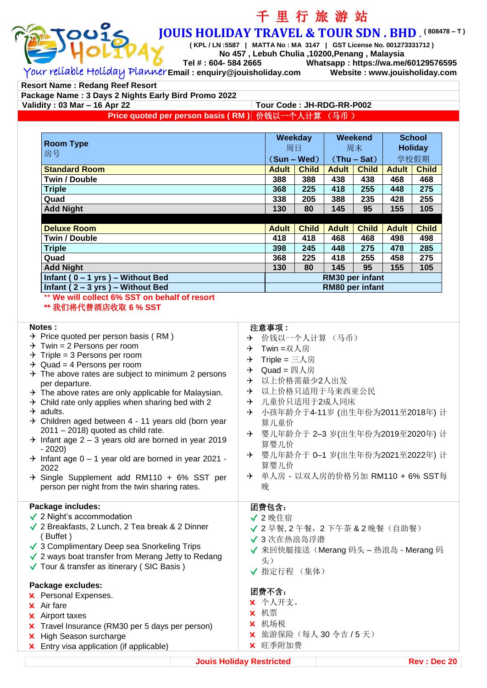

# 千 里 行 旅 游 站 **JOUIS HOLIDAY TRAVEL & TOUR SDN . BHD** . **( 808478 – T )**

**( KPL / LN :5587 | MATTA No : MA 3147 | GST License No. 001273331712 )**

**No 457 , Lebuh Chulia ,10200,Penang , Malaysia Tel # : 604- 584 2665 Whatsapp : https://wa.me/60129576595**

Your reliable Holiday Planner **Email : enquiry@jouisholiday.com Website : www.jouisholiday.com**

**Resort Name : Redang Reef Resort**

**Package Name : 3 Days 2 Nights Early Bird Promo 2022 Validity : 03 Mar – 16 Apr 22 Tour Code : JH-RDG-RR-P002 Price quoted per person basis ( RM )** 价钱以一个人计算 (马币 )

| <b>Room Type</b>                    |                 | Weekday<br>周日 |               | Weekend<br>周末 |              | <b>School</b><br><b>Holiday</b> |  |
|-------------------------------------|-----------------|---------------|---------------|---------------|--------------|---------------------------------|--|
| 房号                                  | $(Sun - Wed)$   |               | $(Thu - Sat)$ |               | 学校假期         |                                 |  |
| <b>Standard Room</b>                | <b>Adult</b>    | <b>Child</b>  | <b>Adult</b>  | <b>Child</b>  | <b>Adult</b> | <b>Child</b>                    |  |
| <b>Twin / Double</b>                | 388             | 388           | 438           | 438           | 468          | 468                             |  |
| <b>Triple</b>                       | 368             | 225           | 418           | 255           | 448          | 275                             |  |
| Quad                                | 338             | 205           | 388           | 235           | 428          | 255                             |  |
| <b>Add Night</b>                    | 130             | 80            | 145           | 95            | 155          | 105                             |  |
|                                     |                 |               |               |               |              |                                 |  |
| <b>Deluxe Room</b>                  | <b>Adult</b>    | <b>Child</b>  | <b>Adult</b>  | <b>Child</b>  | <b>Adult</b> | <b>Child</b>                    |  |
| <b>Twin / Double</b>                | 418             | 418           | 468           | 468           | 498          | 498                             |  |
| <b>Triple</b>                       | 398             | 245           | 448           | 275           | 478          | 285                             |  |
| Quad                                | 368             | 225           | 418           | 255           | 458          | 275                             |  |
| <b>Add Night</b>                    | 130             | 80            | 145           | 95            | 155          | 105                             |  |
| Infant ( $0 - 1$ yrs) – Without Bed | RM30 per infant |               |               |               |              |                                 |  |
| Infant ( $2 - 3$ yrs) – Without Bed | RM80 per infant |               |               |               |              |                                 |  |

\*\* **We will collect 6% SST on behalf of resort**

**\*\*** 我们将代替酒店收取 **6 % SST**

#### **Notes :**

- $\rightarrow$  Price quoted per person basis (RM)
- $\rightarrow$  Twin = 2 Persons per room
- $\rightarrow$  Triple = 3 Persons per room
- $\rightarrow$  Quad = 4 Persons per room
- $\rightarrow$  The above rates are subject to minimum 2 persons per departure.
- $\rightarrow$  The above rates are only applicable for Malaysian.
- $\rightarrow$  Child rate only applies when sharing bed with 2
- $\rightarrow$  adults.
- $\rightarrow$  Children aged between 4 11 years old (born year 2011 – 2018) quoted as child rate.
- $\rightarrow$  Infant age 2 3 years old are borned in year 2019 - 2020)
- $\rightarrow$  Infant age 0 1 year old are borned in year 2021 -2022
- $\div$  Single Supplement add RM110 + 6% SST per person per night from the twin sharing rates.

#### **Package includes:**

- √ 2 Night's accommodation
- √ 2 Breakfasts, 2 Lunch, 2 Tea break & 2 Dinner ( Buffet )
- √ 3 Complimentary Deep sea Snorkeling Trips
- √ 2 ways boat transfer from Merang Jetty to Redang
- √ Tour & transfer as itinerary ( SIC Basis )

#### **Package excludes:**

- x Personal Expenses.
- x Air fare
- x Airport taxes
- x Travel Insurance (RM30 per 5 days per person)
- x High Season surcharge
- x Entry visa application (if applicable)

### 注意事项 **:**

- 价钱以一个人计算 (马币)
- **→ Twin =双人房**
- $\rightarrow$  Triple = 三人房
- $\rightarrow$  Quad = 四人房
- 以上价格需最少2人出发
- 以上价格只适用于马来西亚公民
- 儿童价只适用于2成人同床
- → 小孩年龄介于4-11岁 (出生年份为2011至2018年) 计 算儿童价
- 婴儿年龄介于 2–3 岁(出生年份为2019至2020年) 计 算婴儿价
- 婴儿年龄介于 0–1 岁(出生年份为2021至2022年) 计 算婴儿价
- 单人房 以双人房的价格另加 RM110 + 6% SST每 晚

## 团费包含:

- √ 2 晚住宿
- √ 2 早餐, 2 午餐, 2 下午茶 & 2 晚餐(自助餐)
- √ 3 次在热浪岛浮潜
- √ 来回快艇接送(Merang 码头 热浪岛 Merang 码 头)
- √ 指定行程 (集体)

#### 团费不含:

- x 个人开支。
- x 机票
- x 机场税
- **×** 旅游保险(每人 30 令吉 / 5 天)
- x 旺季附加费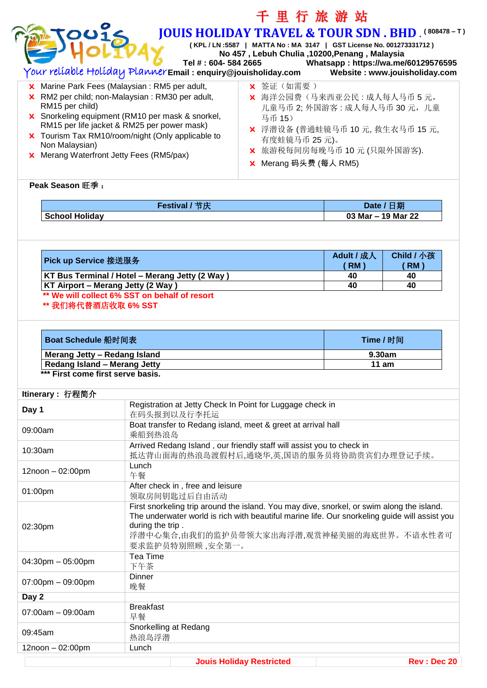|                                                                                                 |                                                                                                                                             | 千里行旅游站                                                                                                                |                             |                                     |  |  |
|-------------------------------------------------------------------------------------------------|---------------------------------------------------------------------------------------------------------------------------------------------|-----------------------------------------------------------------------------------------------------------------------|-----------------------------|-------------------------------------|--|--|
| 201<                                                                                            |                                                                                                                                             | <b>JOUIS HOLIDAY TRAVEL &amp; TOUR SDN. BHD. (808478-T)</b>                                                           |                             |                                     |  |  |
|                                                                                                 |                                                                                                                                             | (KPL / LN :5587   MATTA No : MA 3147   GST License No. 001273331712)<br>No 457, Lebuh Chulia, 10200, Penang, Malaysia |                             |                                     |  |  |
|                                                                                                 |                                                                                                                                             | Tel #: 604-584 2665                                                                                                   |                             | Whatsapp: https://wa.me/60129576595 |  |  |
|                                                                                                 | Your relíable Holíday PlannerEmaiI : enquiry@jouishoIiday.com                                                                               |                                                                                                                       |                             | Website: www.jouisholiday.com       |  |  |
|                                                                                                 | X 签证 (如需要)<br>X Marine Park Fees (Malaysian: RM5 per adult,<br>X RM2 per child; non-Malaysian : RM30 per adult,<br>X 海洋公园费(马来西亚公民:成人每人马币5元, |                                                                                                                       |                             |                                     |  |  |
| RM15 per child)                                                                                 | 儿童马币 2; 外国游客: 成人每人马币 30 元, 儿童                                                                                                               |                                                                                                                       |                             |                                     |  |  |
| X Snorkeling equipment (RM10 per mask & snorkel,<br>RM15 per life jacket & RM25 per power mask) |                                                                                                                                             |                                                                                                                       |                             |                                     |  |  |
| X Tourism Tax RM10/room/night (Only applicable to                                               | X 浮潜设备 (普通蛙镜马币 10元, 救生衣马币 15元,<br>有度蛙镜马币 25元)。                                                                                              |                                                                                                                       |                             |                                     |  |  |
| Non Malaysian)<br><b>X</b> Merang Waterfront Jetty Fees (RM5/pax)                               |                                                                                                                                             |                                                                                                                       | X 旅游税每间房每晚马币 10 元 (只限外国游客). |                                     |  |  |
|                                                                                                 |                                                                                                                                             |                                                                                                                       |                             |                                     |  |  |
| Peak Season 旺季:                                                                                 |                                                                                                                                             |                                                                                                                       |                             |                                     |  |  |
|                                                                                                 | Festival / 节庆                                                                                                                               |                                                                                                                       |                             | Date / 日期                           |  |  |
| <b>School Holiday</b>                                                                           |                                                                                                                                             |                                                                                                                       | 03 Mar - 19 Mar 22          |                                     |  |  |
|                                                                                                 |                                                                                                                                             |                                                                                                                       |                             |                                     |  |  |
|                                                                                                 |                                                                                                                                             |                                                                                                                       |                             |                                     |  |  |
| Pick up Service 接送服务                                                                            |                                                                                                                                             |                                                                                                                       | Adult / 成人<br>$RM$ )        | Child / 小孩<br>$RM$ )                |  |  |
|                                                                                                 | KT Bus Terminal / Hotel - Merang Jetty (2 Way)                                                                                              |                                                                                                                       | 40                          | 40                                  |  |  |
| KT Airport - Merang Jetty (2 Way)                                                               | ** We will collect 6% SST on behalf of resort                                                                                               |                                                                                                                       | 40                          | 40                                  |  |  |
| ** 我们将代替酒店收取 6% SST                                                                             |                                                                                                                                             |                                                                                                                       |                             |                                     |  |  |
|                                                                                                 |                                                                                                                                             |                                                                                                                       |                             |                                     |  |  |
| Boat Schedule 船时间表                                                                              |                                                                                                                                             |                                                                                                                       | Time / 时间                   |                                     |  |  |
| Merang Jetty - Redang Island<br><b>Redang Island - Merang Jetty</b>                             |                                                                                                                                             |                                                                                                                       | 9.30am<br>11 am             |                                     |  |  |
| *** First come first serve basis.                                                               |                                                                                                                                             |                                                                                                                       |                             |                                     |  |  |
| Itinerary: 行程简介                                                                                 |                                                                                                                                             |                                                                                                                       |                             |                                     |  |  |
| Day 1                                                                                           |                                                                                                                                             | Registration at Jetty Check In Point for Luggage check in                                                             |                             |                                     |  |  |
| 09:00am                                                                                         | 在码头报到以及行李托运                                                                                                                                 | Boat transfer to Redang island, meet & greet at arrival hall                                                          |                             |                                     |  |  |
|                                                                                                 | 乘船到热浪岛                                                                                                                                      | Arrived Redang Island, our friendly staff will assist you to check in                                                 |                             |                                     |  |  |
|                                                                                                 | Lunch                                                                                                                                       | 抵达背山面海的热浪岛渡假村后,通晓华,英,国语的服务员将协助贵宾们办理登记手续。                                                                              |                             |                                     |  |  |
|                                                                                                 | 午餐                                                                                                                                          |                                                                                                                       |                             |                                     |  |  |
|                                                                                                 | After check in, free and leisure                                                                                                            |                                                                                                                       |                             |                                     |  |  |
| 10:30am<br>$12$ noon $-02:00$ pm<br>01:00pm                                                     | 领取房间钥匙过后自由活动                                                                                                                                | First snorkeling trip around the island. You may dive, snorkel, or swim along the island.                             |                             |                                     |  |  |
|                                                                                                 |                                                                                                                                             | The underwater world is rich with beautiful marine life. Our snorkeling guide will assist you                         |                             |                                     |  |  |
|                                                                                                 | during the trip.                                                                                                                            |                                                                                                                       |                             |                                     |  |  |
|                                                                                                 | 要求监护员特别照顾,安全第一。                                                                                                                             | 浮潜中心集合,由我们的监护员带领大家出海浮潜,观赏神秘美丽的海底世界。不谙水性者可                                                                             |                             |                                     |  |  |
|                                                                                                 | Tea Time                                                                                                                                    |                                                                                                                       |                             |                                     |  |  |
|                                                                                                 | 下午茶<br>Dinner                                                                                                                               |                                                                                                                       |                             |                                     |  |  |
|                                                                                                 | 晚餐                                                                                                                                          |                                                                                                                       |                             |                                     |  |  |
| 02:30pm<br>$04:30$ pm $-05:00$ pm<br>$07:00$ pm $-09:00$ pm<br>Day 2                            | <b>Breakfast</b>                                                                                                                            |                                                                                                                       |                             |                                     |  |  |
| 07:00am - 09:00am                                                                               | 早餐                                                                                                                                          |                                                                                                                       |                             |                                     |  |  |
| 09:45am                                                                                         | Snorkelling at Redang<br>热浪岛浮潜                                                                                                              |                                                                                                                       |                             |                                     |  |  |